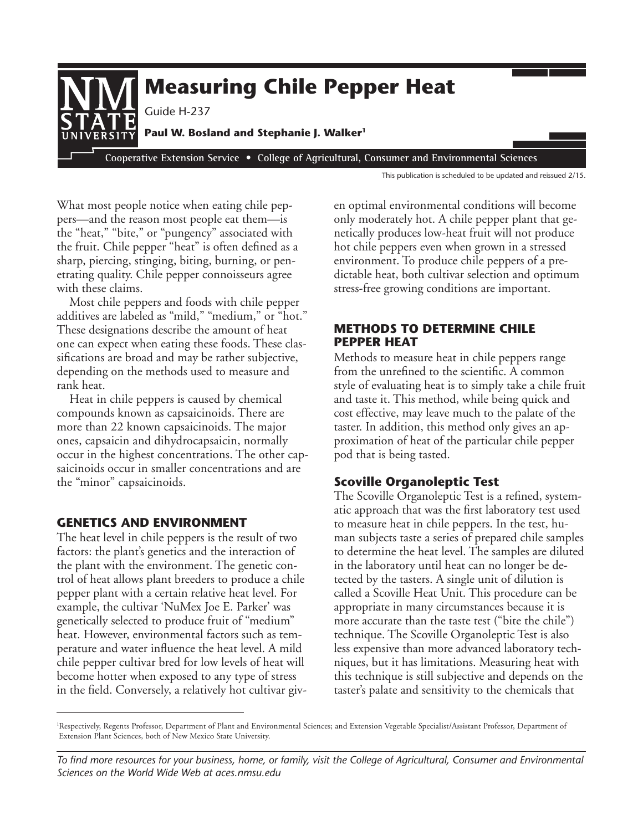

This publication is scheduled to be updated and reissued 2/15.

What most people notice when eating chile peppers—and the reason most people eat them—is the "heat," "bite," or "pungency" associated with the fruit. Chile pepper "heat" is often defned as a sharp, piercing, stinging, biting, burning, or penetrating quality. Chile pepper connoisseurs agree with these claims.

Most chile peppers and foods with chile pepper additives are labeled as "mild," "medium," or "hot." These designations describe the amount of heat one can expect when eating these foods. These classifcations are broad and may be rather subjective, depending on the methods used to measure and rank heat.

 Heat in chile peppers is caused by chemical compounds known as capsaicinoids. There are more than 22 known capsaicinoids. The major ones, capsaicin and dihydrocapsaicin, normally saicinoids occur in smaller concentrations and are occur in the highest concentrations. The other capthe "minor" capsaicinoids.

## **GENETICS AND ENVIRONMENT**

The heat level in chile peppers is the result of two factors: the plant's genetics and the interaction of the plant with the environment. The genetic control of heat allows plant breeders to produce a chile pepper plant with a certain relative heat level. For example, the cultivar 'NuMex Joe E. Parker' was genetically selected to produce fruit of "medium" heat. However, environmental factors such as temperature and water infuence the heat level. A mild chile pepper cultivar bred for low levels of heat will become hotter when exposed to any type of stress in the feld. Conversely, a relatively hot cultivar given optimal environmental conditions will become only moderately hot. A chile pepper plant that genetically produces low-heat fruit will not produce hot chile peppers even when grown in a stressed environment. To produce chile peppers of a predictable heat, both cultivar selection and optimum stress-free growing conditions are important.

# **METHODS TO DETERMINE CHILE PEPPER HEAT**

Methods to measure heat in chile peppers range from the unrefned to the scientifc. A common style of evaluating heat is to simply take a chile fruit and taste it. This method, while being quick and cost effective, may leave much to the palate of the taster. In addition, this method only gives an approximation of heat of the particular chile pepper pod that is being tasted.

# **Scoville Organoleptic Test**

The Scoville Organoleptic Test is a refned, systematic approach that was the frst laboratory test used to measure heat in chile peppers. In the test, human subjects taste a series of prepared chile samples to determine the heat level. The samples are diluted in the laboratory until heat can no longer be detected by the tasters. A single unit of dilution is called a Scoville Heat Unit. This procedure can be appropriate in many circumstances because it is more accurate than the taste test ("bite the chile") technique. The Scoville Organoleptic Test is also less expensive than more advanced laboratory techniques, but it has limitations. Measuring heat with this technique is still subjective and depends on the taster's palate and sensitivity to the chemicals that

<sup>1</sup> Respectively, Regents Professor, Department of Plant and Environmental Sciences; and Extension Vegetable Specialist/Assistant Professor, Department of Extension Plant Sciences, both of New Mexico State University.

*To fnd more resources for your business, home, or family, visit the College of Agricultural, Consumer and Environmental Sciences on the World Wide Web at aces.nmsu.edu*